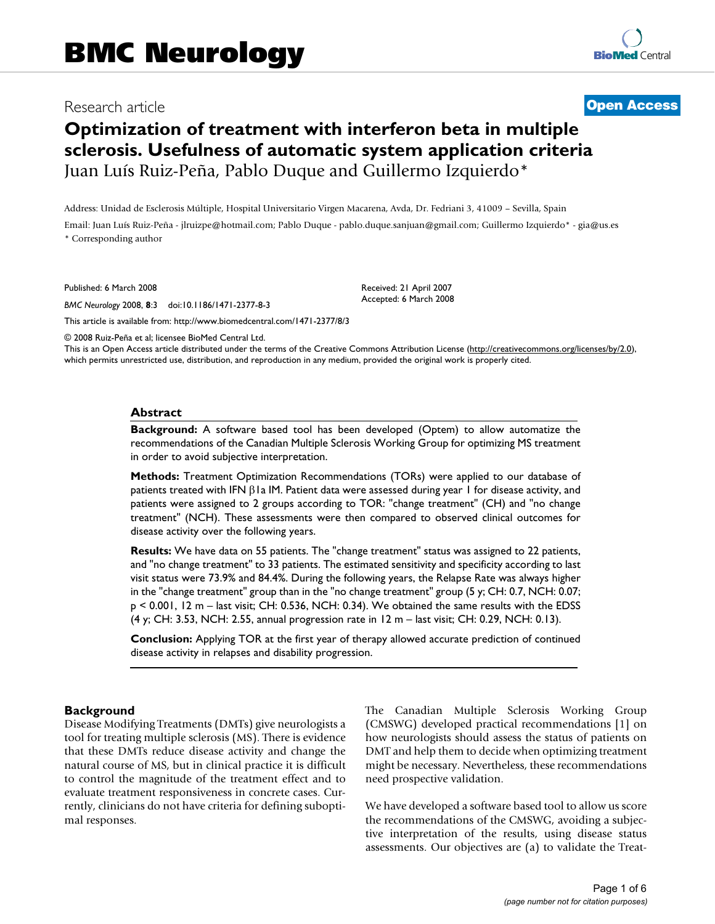# Research article **[Open Access](http://www.biomedcentral.com/info/about/charter/)**

# **Optimization of treatment with interferon beta in multiple sclerosis. Usefulness of automatic system application criteria** Juan Luís Ruiz-Peña, Pablo Duque and Guillermo Izquierdo\*

Address: Unidad de Esclerosis Múltiple, Hospital Universitario Virgen Macarena, Avda, Dr. Fedriani 3, 41009 – Sevilla, Spain Email: Juan Luís Ruiz-Peña - jlruizpe@hotmail.com; Pablo Duque - pablo.duque.sanjuan@gmail.com; Guillermo Izquierdo\* - gia@us.es \* Corresponding author

Published: 6 March 2008

*BMC Neurology* 2008, **8**:3 doi:10.1186/1471-2377-8-3

[This article is available from: http://www.biomedcentral.com/1471-2377/8/3](http://www.biomedcentral.com/1471-2377/8/3)

© 2008 Ruiz-Peña et al; licensee BioMed Central Ltd.

This is an Open Access article distributed under the terms of the Creative Commons Attribution License [\(http://creativecommons.org/licenses/by/2.0\)](http://creativecommons.org/licenses/by/2.0), which permits unrestricted use, distribution, and reproduction in any medium, provided the original work is properly cited.

Received: 21 April 2007 Accepted: 6 March 2008

#### **Abstract**

**Background:** A software based tool has been developed (Optem) to allow automatize the recommendations of the Canadian Multiple Sclerosis Working Group for optimizing MS treatment in order to avoid subjective interpretation.

**Methods:** Treatment Optimization Recommendations (TORs) were applied to our database of patients treated with IFN β1a IM. Patient data were assessed during year 1 for disease activity, and patients were assigned to 2 groups according to TOR: "change treatment" (CH) and "no change treatment" (NCH). These assessments were then compared to observed clinical outcomes for disease activity over the following years.

**Results:** We have data on 55 patients. The "change treatment" status was assigned to 22 patients, and "no change treatment" to 33 patients. The estimated sensitivity and specificity according to last visit status were 73.9% and 84.4%. During the following years, the Relapse Rate was always higher in the "change treatment" group than in the "no change treatment" group (5 y; CH: 0.7, NCH: 0.07; p < 0.001, 12 m – last visit; CH: 0.536, NCH: 0.34). We obtained the same results with the EDSS (4 y; CH: 3.53, NCH: 2.55, annual progression rate in 12 m – last visit; CH: 0.29, NCH: 0.13).

**Conclusion:** Applying TOR at the first year of therapy allowed accurate prediction of continued disease activity in relapses and disability progression.

#### **Background**

Disease Modifying Treatments (DMTs) give neurologists a tool for treating multiple sclerosis (MS). There is evidence that these DMTs reduce disease activity and change the natural course of MS, but in clinical practice it is difficult to control the magnitude of the treatment effect and to evaluate treatment responsiveness in concrete cases. Currently, clinicians do not have criteria for defining suboptimal responses.

The Canadian Multiple Sclerosis Working Group (CMSWG) developed practical recommendations [1] on how neurologists should assess the status of patients on DMT and help them to decide when optimizing treatment might be necessary. Nevertheless, these recommendations need prospective validation.

We have developed a software based tool to allow us score the recommendations of the CMSWG, avoiding a subjective interpretation of the results, using disease status assessments. Our objectives are (a) to validate the Treat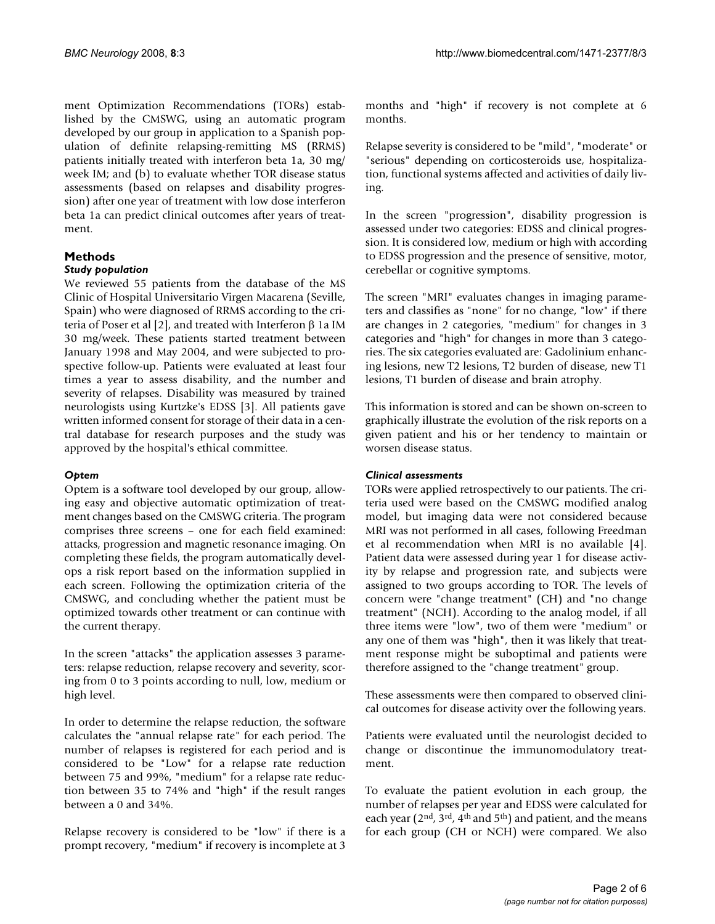ment Optimization Recommendations (TORs) established by the CMSWG, using an automatic program developed by our group in application to a Spanish population of definite relapsing-remitting MS (RRMS) patients initially treated with interferon beta 1a, 30 mg/ week IM; and (b) to evaluate whether TOR disease status assessments (based on relapses and disability progression) after one year of treatment with low dose interferon beta 1a can predict clinical outcomes after years of treatment.

# **Methods**

# *Study population*

We reviewed 55 patients from the database of the MS Clinic of Hospital Universitario Virgen Macarena (Seville, Spain) who were diagnosed of RRMS according to the criteria of Poser et al [2], and treated with Interferon β 1a IM 30 mg/week. These patients started treatment between January 1998 and May 2004, and were subjected to prospective follow-up. Patients were evaluated at least four times a year to assess disability, and the number and severity of relapses. Disability was measured by trained neurologists using Kurtzke's EDSS [3]. All patients gave written informed consent for storage of their data in a central database for research purposes and the study was approved by the hospital's ethical committee.

# *Optem*

Optem is a software tool developed by our group, allowing easy and objective automatic optimization of treatment changes based on the CMSWG criteria. The program comprises three screens – one for each field examined: attacks, progression and magnetic resonance imaging. On completing these fields, the program automatically develops a risk report based on the information supplied in each screen. Following the optimization criteria of the CMSWG, and concluding whether the patient must be optimized towards other treatment or can continue with the current therapy.

In the screen "attacks" the application assesses 3 parameters: relapse reduction, relapse recovery and severity, scoring from 0 to 3 points according to null, low, medium or high level.

In order to determine the relapse reduction, the software calculates the "annual relapse rate" for each period. The number of relapses is registered for each period and is considered to be "Low" for a relapse rate reduction between 75 and 99%, "medium" for a relapse rate reduction between 35 to 74% and "high" if the result ranges between a 0 and 34%.

Relapse recovery is considered to be "low" if there is a prompt recovery, "medium" if recovery is incomplete at 3

months and "high" if recovery is not complete at 6 months.

Relapse severity is considered to be "mild", "moderate" or "serious" depending on corticosteroids use, hospitalization, functional systems affected and activities of daily living.

In the screen "progression", disability progression is assessed under two categories: EDSS and clinical progression. It is considered low, medium or high with according to EDSS progression and the presence of sensitive, motor, cerebellar or cognitive symptoms.

The screen "MRI" evaluates changes in imaging parameters and classifies as "none" for no change, "low" if there are changes in 2 categories, "medium" for changes in 3 categories and "high" for changes in more than 3 categories. The six categories evaluated are: Gadolinium enhancing lesions, new T2 lesions, T2 burden of disease, new T1 lesions, T1 burden of disease and brain atrophy.

This information is stored and can be shown on-screen to graphically illustrate the evolution of the risk reports on a given patient and his or her tendency to maintain or worsen disease status.

# *Clinical assessments*

TORs were applied retrospectively to our patients. The criteria used were based on the CMSWG modified analog model, but imaging data were not considered because MRI was not performed in all cases, following Freedman et al recommendation when MRI is no available [4]. Patient data were assessed during year 1 for disease activity by relapse and progression rate, and subjects were assigned to two groups according to TOR. The levels of concern were "change treatment" (CH) and "no change treatment" (NCH). According to the analog model, if all three items were "low", two of them were "medium" or any one of them was "high", then it was likely that treatment response might be suboptimal and patients were therefore assigned to the "change treatment" group.

These assessments were then compared to observed clinical outcomes for disease activity over the following years.

Patients were evaluated until the neurologist decided to change or discontinue the immunomodulatory treatment.

To evaluate the patient evolution in each group, the number of relapses per year and EDSS were calculated for each year ( $2<sup>nd</sup>$ ,  $3<sup>rd</sup>$ ,  $4<sup>th</sup>$  and  $5<sup>th</sup>$ ) and patient, and the means for each group (CH or NCH) were compared. We also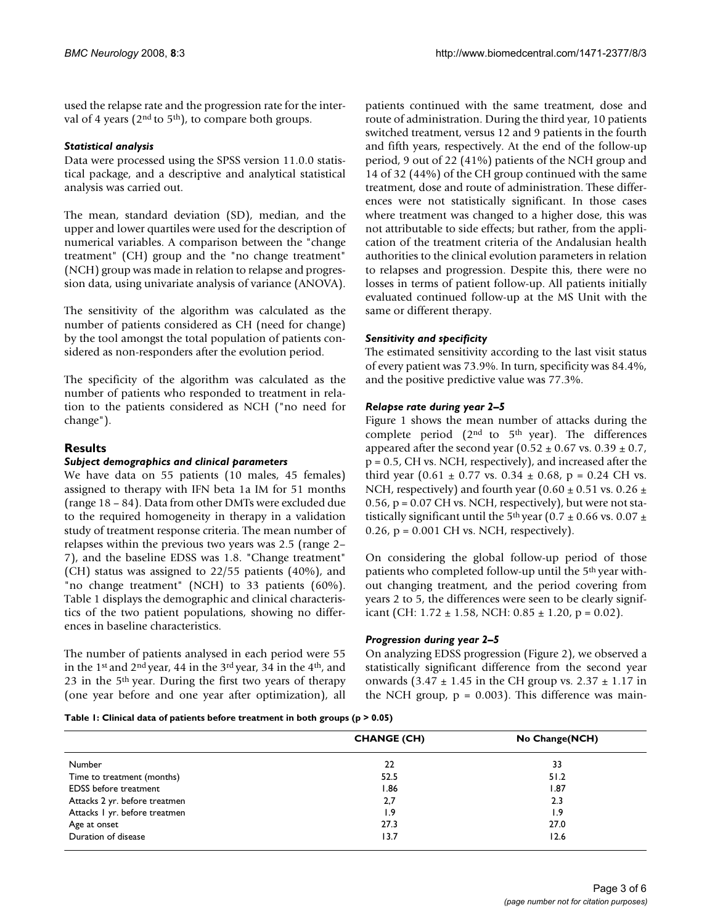used the relapse rate and the progression rate for the interval of 4 years ( $2<sup>nd</sup>$  to  $5<sup>th</sup>$ ), to compare both groups.

## *Statistical analysis*

Data were processed using the SPSS version 11.0.0 statistical package, and a descriptive and analytical statistical analysis was carried out.

The mean, standard deviation (SD), median, and the upper and lower quartiles were used for the description of numerical variables. A comparison between the "change treatment" (CH) group and the "no change treatment" (NCH) group was made in relation to relapse and progression data, using univariate analysis of variance (ANOVA).

The sensitivity of the algorithm was calculated as the number of patients considered as CH (need for change) by the tool amongst the total population of patients considered as non-responders after the evolution period.

The specificity of the algorithm was calculated as the number of patients who responded to treatment in relation to the patients considered as NCH ("no need for change").

# **Results**

#### *Subject demographics and clinical parameters*

We have data on 55 patients (10 males, 45 females) assigned to therapy with IFN beta 1a IM for 51 months (range 18 – 84). Data from other DMTs were excluded due to the required homogeneity in therapy in a validation study of treatment response criteria. The mean number of relapses within the previous two years was 2.5 (range 2– 7), and the baseline EDSS was 1.8. "Change treatment" (CH) status was assigned to 22/55 patients (40%), and "no change treatment" (NCH) to 33 patients (60%). Table 1 displays the demographic and clinical characteristics of the two patient populations, showing no differences in baseline characteristics.

The number of patients analysed in each period were 55 in the 1st and 2nd year, 44 in the 3rd year, 34 in the 4th, and 23 in the 5th year. During the first two years of therapy (one year before and one year after optimization), all patients continued with the same treatment, dose and route of administration. During the third year, 10 patients switched treatment, versus 12 and 9 patients in the fourth and fifth years, respectively. At the end of the follow-up period, 9 out of 22 (41%) patients of the NCH group and 14 of 32 (44%) of the CH group continued with the same treatment, dose and route of administration. These differences were not statistically significant. In those cases where treatment was changed to a higher dose, this was not attributable to side effects; but rather, from the application of the treatment criteria of the Andalusian health authorities to the clinical evolution parameters in relation to relapses and progression. Despite this, there were no losses in terms of patient follow-up. All patients initially evaluated continued follow-up at the MS Unit with the same or different therapy.

# *Sensitivity and specificity*

The estimated sensitivity according to the last visit status of every patient was 73.9%. In turn, specificity was 84.4%, and the positive predictive value was 77.3%.

# *Relapse rate during year 2–5*

Figure 1 shows the mean number of attacks during the complete period ( $2<sup>nd</sup>$  to  $5<sup>th</sup>$  year). The differences appeared after the second year  $(0.52 \pm 0.67 \text{ vs. } 0.39 \pm 0.7,$ p = 0.5, CH vs. NCH, respectively), and increased after the third year  $(0.61 \pm 0.77 \text{ vs. } 0.34 \pm 0.68, \text{ p} = 0.24 \text{ CH vs. } 0.64 \text{ s}$ NCH, respectively) and fourth year (0.60  $\pm$  0.51 vs. 0.26  $\pm$  $0.56$ ,  $p = 0.07$  CH vs. NCH, respectively), but were not statistically significant until the 5<sup>th</sup> year (0.7  $\pm$  0.66 vs. 0.07  $\pm$  $0.26$ ,  $p = 0.001$  CH vs. NCH, respectively).

On considering the global follow-up period of those patients who completed follow-up until the 5th year without changing treatment, and the period covering from years 2 to 5, the differences were seen to be clearly significant (CH:  $1.72 \pm 1.58$ , NCH:  $0.85 \pm 1.20$ , p = 0.02).

#### *Progression during year 2–5*

On analyzing EDSS progression (Figure 2), we observed a statistically significant difference from the second year onwards  $(3.47 \pm 1.45 \text{ in the CH group vs. } 2.37 \pm 1.17 \text{ in }$ the NCH group,  $p = 0.003$ . This difference was main-

**Table 1: Clinical data of patients before treatment in both groups (p > 0.05)**

|                               | <b>CHANGE (CH)</b> | No Change(NCH) |
|-------------------------------|--------------------|----------------|
| Number                        | 22                 | 33             |
| Time to treatment (months)    | 52.5               | 51.2           |
| <b>EDSS</b> before treatment  | l.86               | 1.87           |
| Attacks 2 yr. before treatmen | 2,7                | 2.3            |
| Attacks I yr. before treatmen | 1.9                | 1.9            |
| Age at onset                  | 27.3               | 27.0           |
| Duration of disease           | 13.7               | 12.6           |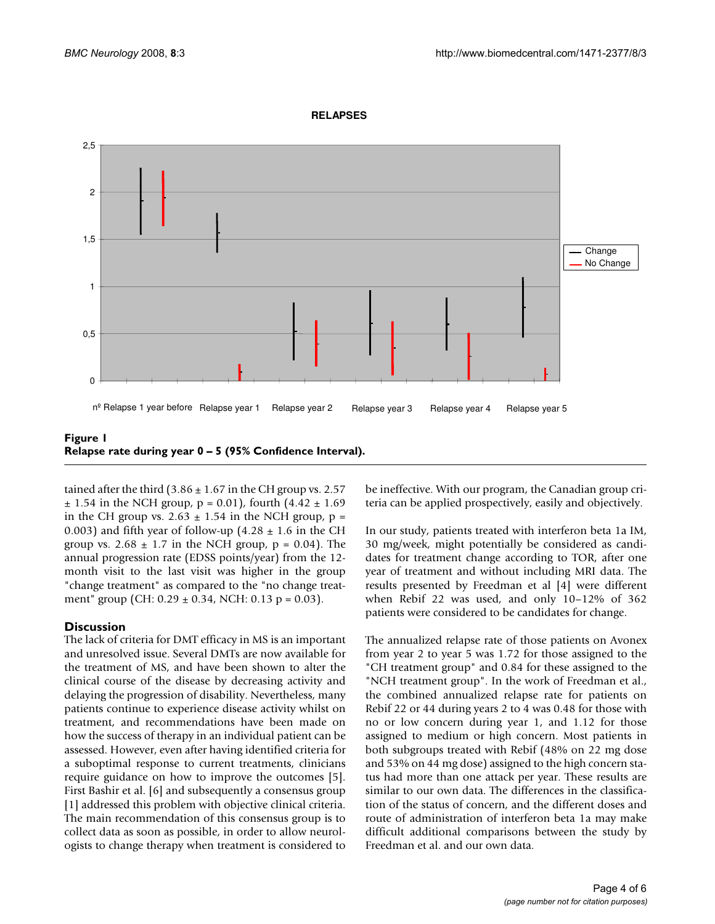

#### **RELAPSES**

tained after the third  $(3.86 \pm 1.67)$  in the CH group vs. 2.57  $\pm$  1.54 in the NCH group, p = 0.01), fourth (4.42  $\pm$  1.69 in the CH group vs.  $2.63 \pm 1.54$  in the NCH group, p = 0.003) and fifth year of follow-up  $(4.28 \pm 1.6 \text{ in the CH})$ group vs.  $2.68 \pm 1.7$  in the NCH group,  $p = 0.04$ ). The annual progression rate (EDSS points/year) from the 12 month visit to the last visit was higher in the group "change treatment" as compared to the "no change treat-

ment" group (CH:  $0.29 \pm 0.34$ , NCH:  $0.13 \text{ p} = 0.03$ ).

#### **Discussion**

The lack of criteria for DMT efficacy in MS is an important and unresolved issue. Several DMTs are now available for the treatment of MS, and have been shown to alter the clinical course of the disease by decreasing activity and delaying the progression of disability. Nevertheless, many patients continue to experience disease activity whilst on treatment, and recommendations have been made on how the success of therapy in an individual patient can be assessed. However, even after having identified criteria for a suboptimal response to current treatments, clinicians require guidance on how to improve the outcomes [5]. First Bashir et al. [6] and subsequently a consensus group [1] addressed this problem with objective clinical criteria. The main recommendation of this consensus group is to collect data as soon as possible, in order to allow neurologists to change therapy when treatment is considered to be ineffective. With our program, the Canadian group criteria can be applied prospectively, easily and objectively.

In our study, patients treated with interferon beta 1a IM, 30 mg/week, might potentially be considered as candidates for treatment change according to TOR, after one year of treatment and without including MRI data. The results presented by Freedman et al [4] were different when Rebif 22 was used, and only 10–12% of 362 patients were considered to be candidates for change.

The annualized relapse rate of those patients on Avonex from year 2 to year 5 was 1.72 for those assigned to the "CH treatment group" and 0.84 for these assigned to the "NCH treatment group". In the work of Freedman et al., the combined annualized relapse rate for patients on Rebif 22 or 44 during years 2 to 4 was 0.48 for those with no or low concern during year 1, and 1.12 for those assigned to medium or high concern. Most patients in both subgroups treated with Rebif (48% on 22 mg dose and 53% on 44 mg dose) assigned to the high concern status had more than one attack per year. These results are similar to our own data. The differences in the classification of the status of concern, and the different doses and route of administration of interferon beta 1a may make difficult additional comparisons between the study by Freedman et al. and our own data.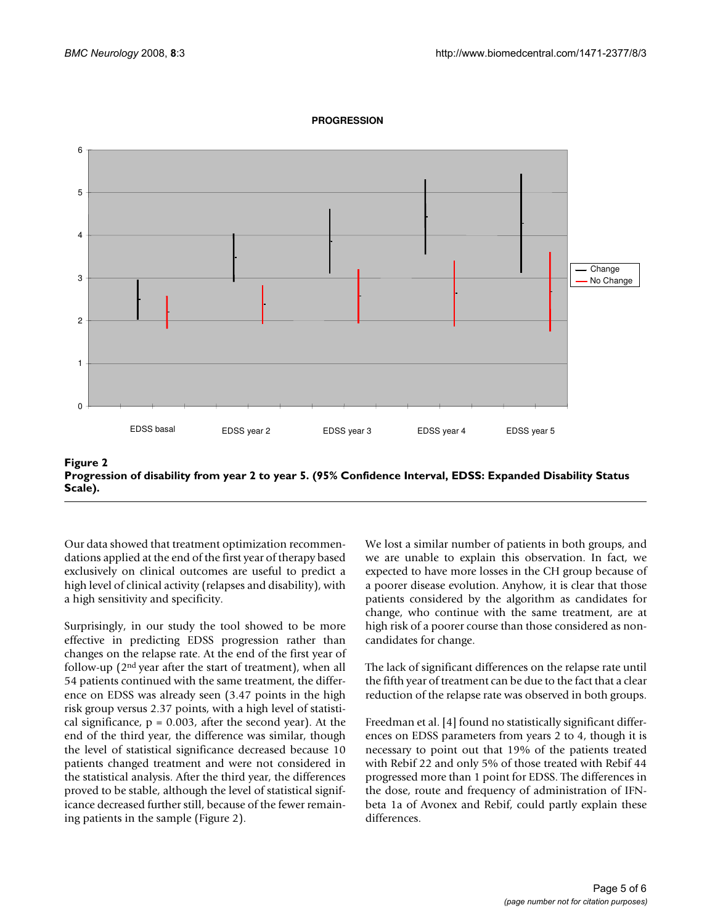

#### **PROGRESSION**

**Figure 2 Progression of disability from year 2 to year 5. (95% Confidence Interval, EDSS: Expanded Disability Status Scale).**

Our data showed that treatment optimization recommendations applied at the end of the first year of therapy based exclusively on clinical outcomes are useful to predict a high level of clinical activity (relapses and disability), with a high sensitivity and specificity.

Surprisingly, in our study the tool showed to be more effective in predicting EDSS progression rather than changes on the relapse rate. At the end of the first year of follow-up (2nd year after the start of treatment), when all 54 patients continued with the same treatment, the difference on EDSS was already seen (3.47 points in the high risk group versus 2.37 points, with a high level of statistical significance,  $p = 0.003$ , after the second year). At the end of the third year, the difference was similar, though the level of statistical significance decreased because 10 patients changed treatment and were not considered in the statistical analysis. After the third year, the differences proved to be stable, although the level of statistical significance decreased further still, because of the fewer remaining patients in the sample (Figure 2).

We lost a similar number of patients in both groups, and we are unable to explain this observation. In fact, we expected to have more losses in the CH group because of a poorer disease evolution. Anyhow, it is clear that those patients considered by the algorithm as candidates for change, who continue with the same treatment, are at high risk of a poorer course than those considered as noncandidates for change.

The lack of significant differences on the relapse rate until the fifth year of treatment can be due to the fact that a clear reduction of the relapse rate was observed in both groups.

Freedman et al. [4] found no statistically significant differences on EDSS parameters from years 2 to 4, though it is necessary to point out that 19% of the patients treated with Rebif 22 and only 5% of those treated with Rebif 44 progressed more than 1 point for EDSS. The differences in the dose, route and frequency of administration of IFNbeta 1a of Avonex and Rebif, could partly explain these differences.